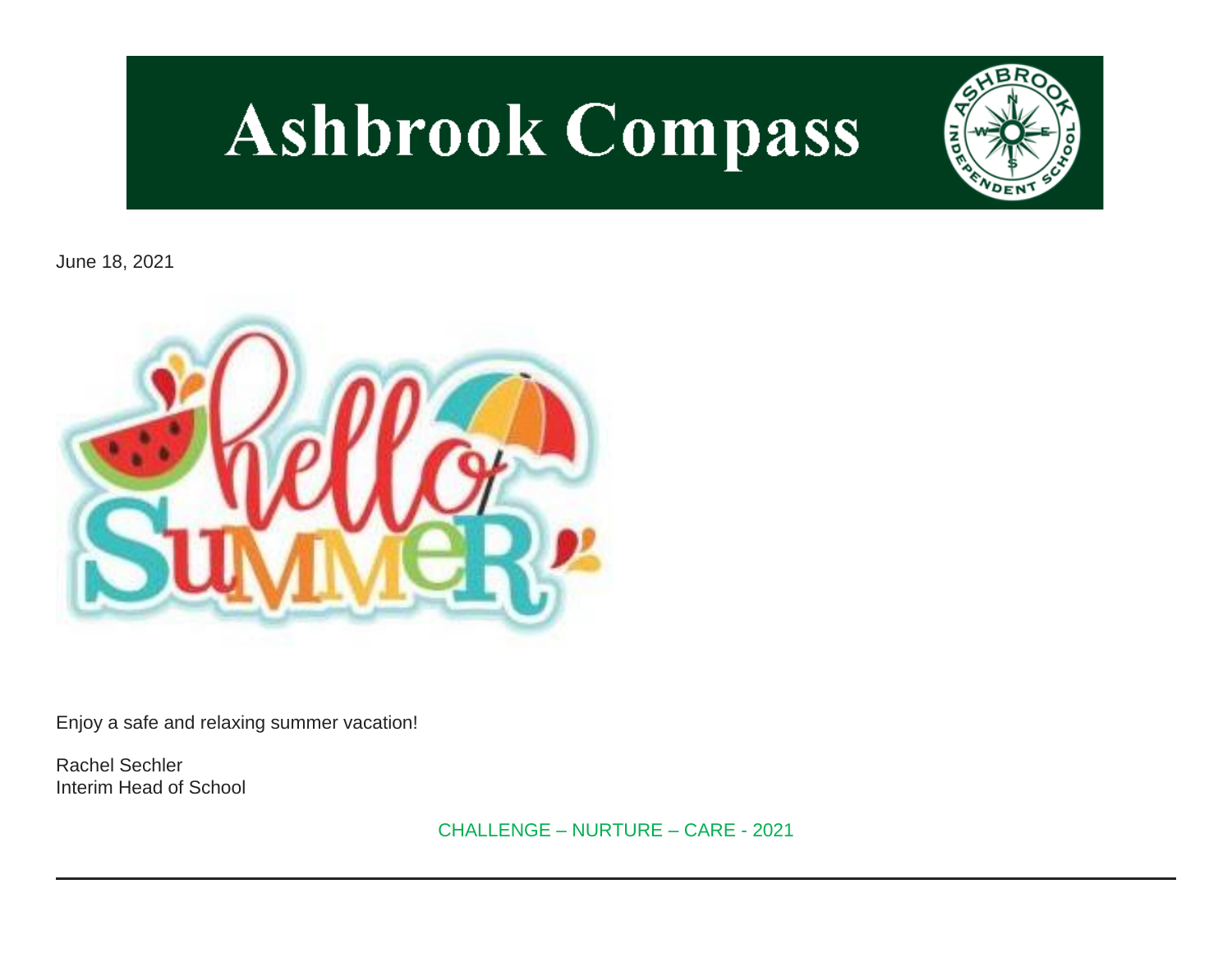# **Ashbrook Compass**



June 18, 2021



Enjoy a safe and relaxing summer vacation!

Rachel Sechler Interim Head of School

CHALLENGE – NURTURE – CARE - 2021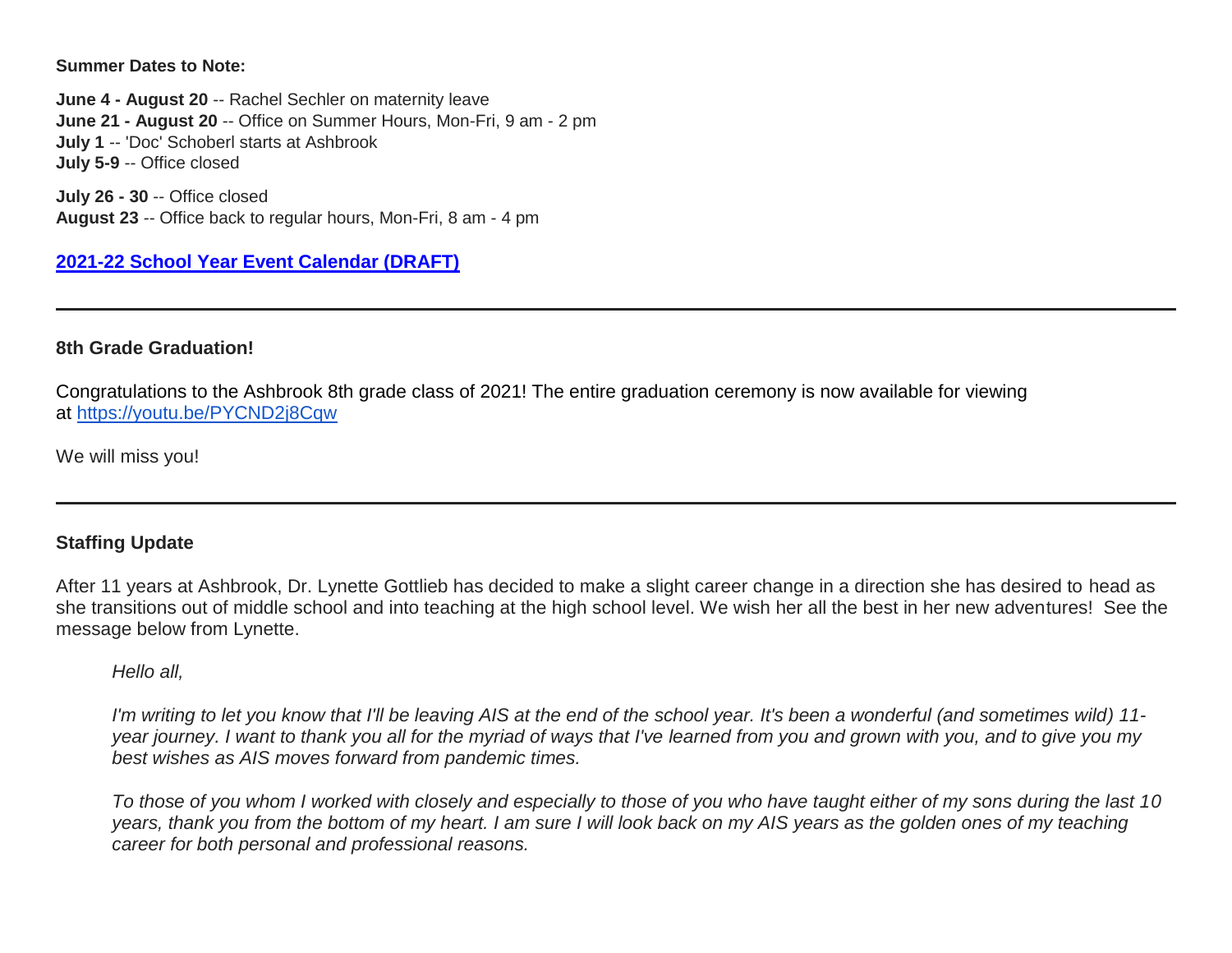**Summer Dates to Note:**

**June 4 - August 20** -- Rachel Sechler on maternity leave **June 21 - August 20** -- Office on Summer Hours, Mon-Fri, 9 am - 2 pm **July 1** -- 'Doc' Schoberl starts at Ashbrook **July 5-9** -- Office closed

**July 26 - 30** -- Office closed **August 23** -- Office back to regular hours, Mon-Fri, 8 am - 4 pm

**[2021-22 School Year Event Calendar \(DRAFT\)](http://link.mystudentsprogress.com/ls/click?upn=t3AI3kjK1Pyk9qPfHnOahelBVVSIlRAa3GeSLMbkINmgHr3guxrPuqfp-2Bh-2FJW4nCZ4g8Gi3XkGXC-2FKATZbsSvlLtGaxynoxi8rg7wuoRjJ9ogb5HbX999Eip-2FZE6wLdBt-2FZXHJBS6zquMLtzN9wyAf-2BwWQPV3rI3lDDknuQ1JHMBzJ8gUYT-2F7YzNEwZY9IsL01sHprQ-2FIDOi-2FxvxQxcWetx3uPiVsOO-2BTqPctwW7ytf9RkxC1x3UjTIEBtRaqxRocHrr-2BmciBR4-2BJ-2F9FRK9RIbCVijz3zpNIIcd4PIsUMddSSVNBf6Erlmv-2BHBcLMpY-2BXATDQ1ruaOReFDZmWYSBv8U-2FG-2FKOr0yEkAwqSdMzdcQ3gq4Z79RZNOTZP4nGap5-2B4nzc4nIf29OyD3NhvJHQaLkc85sE-2FfYbPaGyyk6H2FOzJRYThJmT37US6LpTrGNlh9HxVTLYe1LpjcNTBXNJsSKlp-2BAa-2BVuGTdE8v33fTt9-2BgR-2BE9tSlDPzhNHxWPZ2RZ535aLRz3SoCCiPZR3EABfh4FMKDRC4z2q-2Bvjvbtim7SOD4kDD2r5XYSDBe4a3bcI5fNds6iRAQWmj3uDnwn3-2B3tKuGNT1JKaRpJXKTgGLzWZLAnNUo4fvdQC77H83vaK-2BM8PCeLuljt-2FRAsnx0cP-2FGdRouESOyMOB5ORkT-2BH-2Bkw4hRRiiTCpe61BsZqpA-2Bu01AZ_1PndbFfBoQGSZbxwXHHEexw3B2F0fG-2BUmuXm6a-2BX-2Bztf8uhOqPx-2FfLonZwTYlhCNraWXGy61g8XT5zrYsCR2LWjX-2FAfGAUquasBUUk0jP93HT2gOhV1fm4T1c3nM-2FQpkaKj-2F7WvvzMmcX9y7T2Ygd-2BBIV4jV78LICb-2FSML6JLmNY9FSXQaESKvaP-2FcubGwEng8pZfLIvaoGvurrn30Lh-2FvWAq7Prbzn3QkU41O7uklURpu5-2FbnEKLkQq5dIFfIjq5O5xi3-2Bb9b7iOeLE5gsy1qbd0Hui3xSpRH9JoZAF1Z2XTrDAFyiwqcKBzUHHedy3-2F4OrG9PAm64KZsPZGMHnEs-2Bj7b4EJJQUe1U4exxNwtMrmQL2LnJp-2BSpQ-2BMpYgrIHhcVhQGRJezTuUCLSQskaj-2BOixzgBzZMcjyjB5-2B9BEPL1uMfNhHhbzHnelbNR0hLo)**

#### **8th Grade Graduation!**

Congratulations to the Ashbrook 8th grade class of 2021! The entire graduation ceremony is now available for viewing at [https://youtu.be/PYCND2j8Cqw](http://link.mystudentsprogress.com/ls/click?upn=dtxrd7XgLFKMZb8yFsgCgU1qcReoIVa-2FhEwbdhMTQqzLwv9qSpNsCYjRbh62X6kY1yxs_1PndbFfBoQGSZbxwXHHEexw3B2F0fG-2BUmuXm6a-2BX-2Bztf8uhOqPx-2FfLonZwTYlhCNraWXGy61g8XT5zrYsCR2LREfvqCmnDMftHiwOPtUS-2FKslcQpYk4Fss-2BQxVOkrX-2FU22TTiOfzL8vzL79dlXlFT1GQUmcnk-2FrGUAfVkdcNF5uZttrDcV-2Bpzmq60mVoCgyMUS3fdIxlGZjF9yKeM4tf-2F1IFTYMvXm2cFcafXn1yU-2By4hodTKU4EDq4rvllNI8hcFnu4jZB6Gusfanis9brehUHEuEy1CUyE-2FlyOjyv8Iqc1AodtJhAs79jZImb0yVC9T0TYldo6Kt6EzvZJ6lF3ozTZD2LKfQOX03J-2B-2B2hRQbDa4gJ52YDhvpCYU1FdGGB-2FlxnWy0gGGu1K-2BA9BRaqZXU8FINpl3PpOBcMSIM3iveE6lv6X5Gm5xoxinSxaoFKo)

We will miss you!

#### **Staffing Update**

After 11 years at Ashbrook, Dr. Lynette Gottlieb has decided to make a slight career change in a direction she has desired to head as she transitions out of middle school and into teaching at the high school level. We wish her all the best in her new adventures! See the message below from Lynette.

*Hello all,*

*I'm writing to let you know that I'll be leaving AIS at the end of the school year. It's been a wonderful (and sometimes wild) 11 year journey. I want to thank you all for the myriad of ways that I've learned from you and grown with you, and to give you my best wishes as AIS moves forward from pandemic times.*

*To those of you whom I worked with closely and especially to those of you who have taught either of my sons during the last 10 years, thank you from the bottom of my heart. I am sure I will look back on my AIS years as the golden ones of my teaching career for both personal and professional reasons.*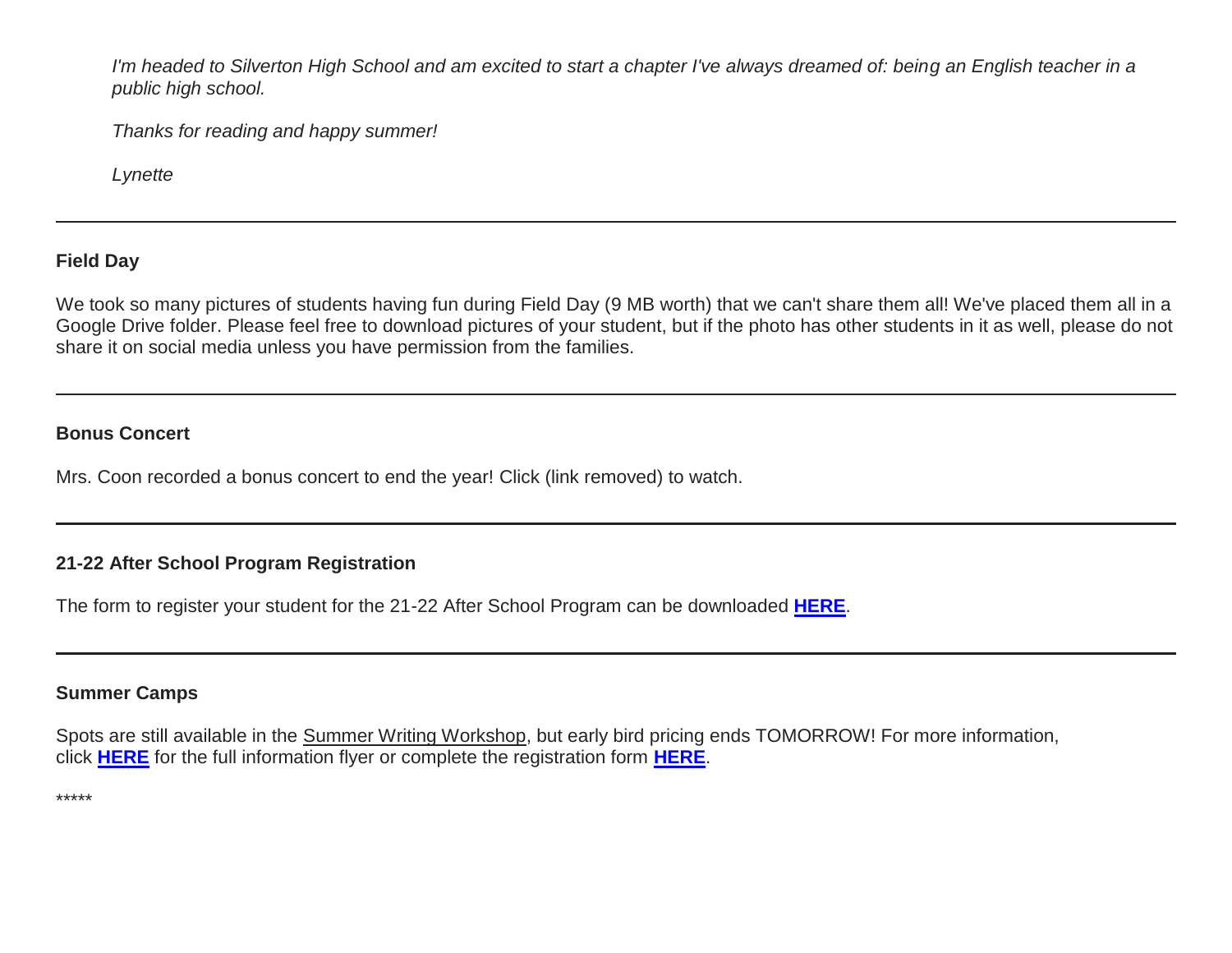*I'm headed to Silverton High School and am excited to start a chapter I've always dreamed of: being an English teacher in a public high school.*

*Thanks for reading and happy summer!*

*Lynette*

## **Field Day**

We took so many pictures of students having fun during Field Day (9 MB worth) that we can't share them all! We've placed them all in a Google Drive folder. Please feel free to download pictures of your student, but if the photo has other students in it as well, please do not share it on social media unless you have permission from the families.

#### **Bonus Concert**

Mrs. Coon recorded a bonus concert to end the year! Click (link removed) to watch.

## **21-22 After School Program Registration**

The form to register your student for the 21-22 After School Program can be downloaded **[HERE](http://link.mystudentsprogress.com/ls/click?upn=n7jYKe39nC4PrVAw2BzaOolgU5XUleaJ61qfvNJxTW3uoi8RFzNYUfSc1qXdqajA34djZWrxIBJBxzp2whbybvqIYp3dDOkCDgKesziBdClU1gSff40dOT6un1FKfv7o-2Fi-2Bxuf5e569VqSWQCqae8FBH-2FI-2BG5kCV5h8k0AH6sl4-3DsJLK_1PndbFfBoQGSZbxwXHHEexw3B2F0fG-2BUmuXm6a-2BX-2Bztf8uhOqPx-2FfLonZwTYlhCNraWXGy61g8XT5zrYsCR2LdbmPgZJuAkwDKdemiRlU4hhATM-2BwrYZ3mV93a4iTmDxQgAlDYDxiUxXikFyTO8amTyCQUz5JE6svmLttuI9KFLBr3k33A8trzGhwnmqKz-2FiEgcDR1ZOIXTgBuxkcuUm-2BByzYds5ps-2FrFDxTD65EZPKtbr-2B205beHXvBGPeVAA5N6tAN7aEIqRcW-2FPuneJHJCKXJH5b4cUP4FOMIMCGW-2FXokKaiVvDWpQpNHcD2FIpQSiEDMp7SoXfTBMsX-2FJ5TnIIdA6xUfqpN5lnaU3a-2FhCNuyP1KDM11-2B7n5P0cp211cPePBhmP6hUi-2FGo0Se9k16CHaxABnXwdp5vo2HNSMQXP1myySiDLk8S0fX-2BZtfc17q)**.

### **Summer Camps**

Spots are still available in the Summer Writing Workshop, but early bird pricing ends TOMORROW! For more information, click **[HERE](http://link.mystudentsprogress.com/ls/click?upn=TUHIw15RkZKA-2BkrQie-2FntaQiAIzyVKoAcjBRQlnVZKd-2BHIYHyC6WBSgp4Ve86SHvX-2Fhr8AjrSx7lKde5HIclx1jmbDcoSDkwNz5n83CbAq-2FU1vhWrbNvlNMr5ah9h6f8sxu8l3HSYKB4h4dVlp6jrQl2SA-2BK8ICjAYnrY0KJGjAuSg3BTIpOCuVXsW-2FoyuWPmooNIQe5Mx1C5fGWRL0kUsXPgbdKeW3apLWhztrkGzC8cXL24wwuKQcpZOWXyuApqtCNDROm4ozpArkBdWt-2FEbWuBriVmhKIjRlAoblncE2EIvijcP5XFmXEk0QT6cRoMOQxkEOMeDeYKpi2QiTRLVkIbMm-2FalzU5x9NcCROHFXDSlfKHOwaShTWvqzDhyWAK7eefKhsLp9laCKk3hYfIQiCuIQAusRVhMVaQd1d-2BLpSS56PU1bphDgA-2B5sNvrv2KcSQc1XSflCYrd4wtEa47EHkAymyLjS7HnUGvNWezfMHVrQ1A7ubVfLyYJrwJI96y9xIZYawlMFcThxG8RV7zkXKIpBqn5esQh1EQq5skWgDzyU6pTJyjgzaTsFsjCYaw-2BHsUXQORWrGjwMkzR7KHNoap1EydT4C7nEtppnZNjj9PPagvR0vXgfwyJSDxfyvSSXhhYdG1YwwCnGkY8-2Bjt-2FPJ88IYOnYNBaKlW2p4mTWJbXTCrFIlyeJdiMNyW9m4l5gWZCOKhx46UFPb-2FQzqlnEgqwpz5heNSj7pQttHPVB41qnMOjA6yr-2Flj9meCc-2FoUXjQ-2BnqwFcc06qVi5zWuQjP5AOs2zz5kIQBDpB40avKJgyFFT63k9aTSLnwA6I0GG8RenzkUY5UbYSyjeU8cluoWL-2FaquqUxP5jDXwfxLKyJZWOCuIQkBmN83n1Y6kimDIYtqQxFiy-2FN0uF0F80vp6qgRLoG2ZD6l9vduVq-2FM804D0kHR-2BxC6cCF3hiwBkMRMmf0lNdemWrJxdj6hRq5IQ-3D-3DEUad_1PndbFfBoQGSZbxwXHHEexw3B2F0fG-2BUmuXm6a-2BX-2Bztf8uhOqPx-2FfLonZwTYlhCNraWXGy61g8XT5zrYsCR2LbYrX-2FRa0yrrvKSdIj-2F2zC4O3WKHEn9ZjhKanBkncW6CRK4AXhrS5ZtDleNX5wozcCVs8ldPcHe-2Fo5FFccBnNkE0N8-2B8nnpIfb-2BOFI9RxK6T3Jr8MaZ4LkfRkN714AQMYJNsjKnaGMBXKpknBLA-2Fw1rKMaSODBYRBSS1TugV5BtOOtneeoD-2FBq2FTbZR5bqDALuxM7vIYRsxOrZaMKKUI0HsrsW-2BI0zdyI9WrnHZ4I4IucVAYuZQvgb5l6wVHvR8TuG-2FhBgOCDSLtirBs5LPWw337kHwnByfJthC1ZzBQ8nLOXVw85VHPcXHuRXG3MbvxT6Cp7mnSBT-2FMH-2BKYtPp2mgzQtbeHerrNIXpS-2BoQkPVY)** for the full information flyer or complete the registration form **[HERE](http://link.mystudentsprogress.com/ls/click?upn=TUHIw15RkZKA-2BkrQie-2FntaQiAIzyVKoAcjBRQlnVZKd-2BHIYHyC6WBSgp4Ve86SHvCgnLxe3t6M-2BLgipsvAyPTygx-2Fln-2BUqAshcJLXte9GVaSMohsW2reuEZ-2BM1KfcdhfjZVTu1ReylO8IIsFIPfMMc-2FTPPydUbU87w0qeBREjaIlYtDnsxUlCxQB0RwK-2Ft6pBTv-2BbP4jJg-2Bd7-2BBTbiFJ6o5zQ69CPtT1vesg1BibdQ6xdm1QsqxyHzQe8xMc3qRamY7OOz8-2F6BQO1D3NKwQDRwhF4v2kAiqwfwXZ1uyvveoPSOAWnczhsI-2BsAvjgbnLM9vS6S5xCgpKhs35X6VWCSfu-2BuxbPXFSNt9Opg-2F85QGCSve0bULSzOdJB4ulxfEORaz-2F-2FNMI289eNeMk0HZy-2Bc-2BtNOwRsrwl-2FoYqTgkv78cWGXJGs7Qpkss-2B-2B9x7TPj1sKo3Kz3LXVuki6KVjpkZbFzOnfETlWS-2FdruB8Nx7eAvt6umX-2FCEdvLghWmKBkR35NeEv4Z2u2ntDYdjww5m8Kg1WvAGf-2BCaQ3Bkjla2i-2FMKF5unRXUYYHS6ycIJXO3yycqzC4FwIbvuy-2FCkY-2B7u-2Fbe8x7LOAC-2F-2BD2dPw4ZFS5OxHLVNvEaSlUt73OywEDNWDPc0u7YcN5-2Bq4mTn-2BJVF1XnCv-2BLYDvF-2FxduJ-2BW8QAnJdGnGWZWInu-2Fz12vz2riomA-2F14HvEdHA4RiuFVHZ7ARHQsV54ZT3YJtCvz8GQDF1bME6YtE8ybc5mGabqZDAL9uiqN9f6cUIGjxCMji1Jcs5ww9ksF9FQJfa7azBFtyXLzk-3D1cxj_1PndbFfBoQGSZbxwXHHEexw3B2F0fG-2BUmuXm6a-2BX-2Bztf8uhOqPx-2FfLonZwTYlhCNraWXGy61g8XT5zrYsCR2LQMpoaCXexZa9cxg5IY0f2Tm4OE939Q1p87tcgtNFKPOjhuxr0uCRpvw3Uz5G6mEG-2BVLT1-2Bhx7wMI2TzY-2B-2B2ZH35m-2Bv4WnaVs8e6NwtCgp7LSIjgJFvCxH-2BbMmNNjHZIAxIFLKEuC85ateXaIkab7bNiGLmcpcXXntawif-2FyeUwZSE3jVoUM0JSi9-2FCavykke6no-2BtBgLUrdQJPRZMpPHe77crDieEWl8VYEXH0bKtZLHSMDc3Y7GwI6hNJ82x-2Br-2FdfeNqmKH9MZhetzzF2TeMUXYvc0Xi1CG9LVOx2xMeu95AIYSvTUuBNE6v0J3LdXo9fOfzpOJWK0Rkl49bPNws1mHp-2FM3GhYE1btjCZfPaLD)**.

\*\*\*\*\*